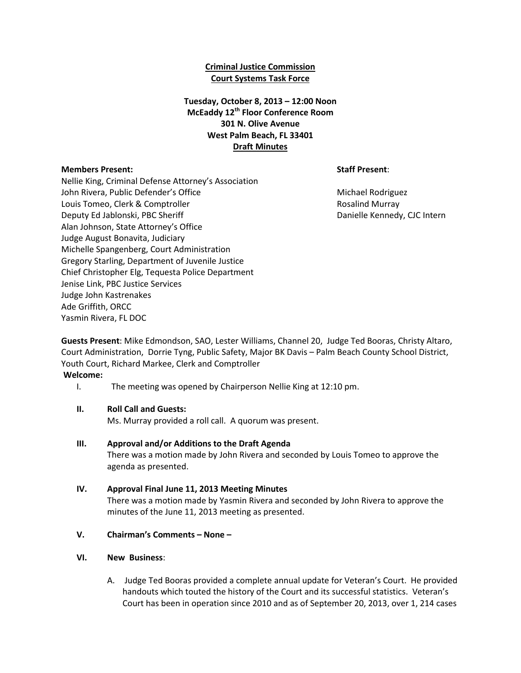### **Criminal Justice Commission Court Systems Task Force**

## **Tuesday, October 8, 2013 – 12:00 Noon McEaddy 12th Floor Conference Room 301 N. Olive Avenue West Palm Beach, FL 33401 Draft Minutes**

### **Members Present: Staff Present**:

Nellie King, Criminal Defense Attorney's Association John Rivera, Public Defender's Office Michael Rodriguez Michael Rodriguez Louis Tomeo, Clerk & Comptroller **Rosaling Clerk and Australian** Rosalind Murray Deputy Ed Jablonski, PBC Sheriff **Danielle Kennedy, CJC Intern** Alan Johnson, State Attorney's Office Judge August Bonavita, Judiciary Michelle Spangenberg, Court Administration Gregory Starling, Department of Juvenile Justice Chief Christopher Elg, Tequesta Police Department Jenise Link, PBC Justice Services Judge John Kastrenakes Ade Griffith, ORCC Yasmin Rivera, FL DOC

**Guests Present**: Mike Edmondson, SAO, Lester Williams, Channel 20, Judge Ted Booras, Christy Altaro, Court Administration, Dorrie Tyng, Public Safety, Major BK Davis – Palm Beach County School District, Youth Court, Richard Markee, Clerk and Comptroller

**Welcome:**

I. The meeting was opened by Chairperson Nellie King at 12:10 pm.

### **II. Roll Call and Guests:**

Ms. Murray provided a roll call. A quorum was present.

**III. Approval and/or Additions to the Draft Agenda** There was a motion made by John Rivera and seconded by Louis Tomeo to approve the agenda as presented.

### **IV. Approval Final June 11, 2013 Meeting Minutes**

There was a motion made by Yasmin Rivera and seconded by John Rivera to approve the minutes of the June 11, 2013 meeting as presented.

- **V. Chairman's Comments – None –**
- **VI. New Business**:
	- A. Judge Ted Booras provided a complete annual update for Veteran's Court. He provided handouts which touted the history of the Court and its successful statistics. Veteran's Court has been in operation since 2010 and as of September 20, 2013, over 1, 214 cases